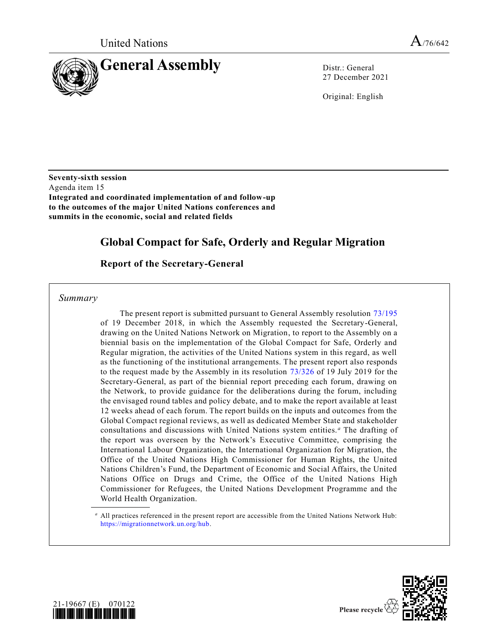

27 December 2021

Original: English

**Seventy-sixth session** Agenda item 15 **Integrated and coordinated implementation of and follow-up to the outcomes of the major United Nations conferences and summits in the economic, social and related fields**

# **Global Compact for Safe, Orderly and Regular Migration**

## **Report of the Secretary-General**

*Summary*

The present report is submitted pursuant to General Assembly resolution [73/195](https://undocs.org/en/A/RES/73/195) of 19 December 2018, in which the Assembly requested the Secretary-General, drawing on the United Nations Network on Migration, to report to the Assembly on a biennial basis on the implementation of the Global Compact for Safe, Orderly and Regular migration, the activities of the United Nations system in this regard, as well as the functioning of the institutional arrangements. The present report also responds to the request made by the Assembly in its resolution [73/326](https://undocs.org/en/A/RES/73/326) of 19 July 2019 for the Secretary-General, as part of the biennial report preceding each forum, drawing on the Network, to provide guidance for the deliberations during the forum, including the envisaged round tables and policy debate, and to make the report available at least 12 weeks ahead of each forum. The report builds on the inputs and outcomes from the Global Compact regional reviews, as well as dedicated Member State and stakeholder consultations and discussions with United Nations system entities. *<sup>a</sup>* The drafting of the report was overseen by the Network's Executive Committee, comprising the International Labour Organization, the International Organization for Migration, the Office of the United Nations High Commissioner for Human Rights, the United Nations Children's Fund, the Department of Economic and Social Affairs, the United Nations Office on Drugs and Crime, the Office of the United Nations High Commissioner for Refugees, the United Nations Development Programme and the World Health Organization.

*<sup>a</sup>* All practices referenced in the present report are accessible from the United Nations Network Hub: [https://migrationnetwork.un.org/hub.](https://migrationnetwork.un.org/hub)



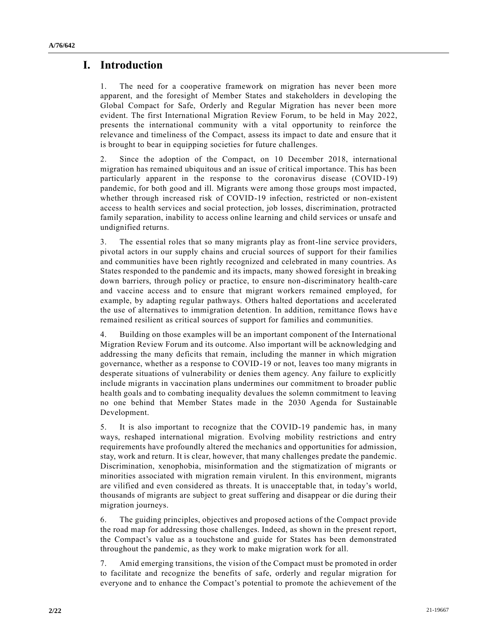# **I. Introduction**

1. The need for a cooperative framework on migration has never been more apparent, and the foresight of Member States and stakeholders in developing the Global Compact for Safe, Orderly and Regular Migration has never been more evident. The first International Migration Review Forum, to be held in May 2022, presents the international community with a vital opportunity to reinforce the relevance and timeliness of the Compact, assess its impact to date and ensure that it is brought to bear in equipping societies for future challenges.

2. Since the adoption of the Compact, on 10 December 2018, international migration has remained ubiquitous and an issue of critical importance. This has been particularly apparent in the response to the coronavirus disease (COVID-19) pandemic, for both good and ill. Migrants were among those groups most impacted, whether through increased risk of COVID-19 infection, restricted or non-existent access to health services and social protection, job losses, discrimination, protracted family separation, inability to access online learning and child services or unsafe and undignified returns.

3. The essential roles that so many migrants play as front-line service providers, pivotal actors in our supply chains and crucial sources of support for their families and communities have been rightly recognized and celebrated in many countries. As States responded to the pandemic and its impacts, many showed foresight in breaking down barriers, through policy or practice, to ensure non-discriminatory health-care and vaccine access and to ensure that migrant workers remained employed, for example, by adapting regular pathways. Others halted deportations and accelerated the use of alternatives to immigration detention. In addition, remittance flows hav e remained resilient as critical sources of support for families and communities.

4. Building on those examples will be an important component of the International Migration Review Forum and its outcome. Also important will be acknowledging and addressing the many deficits that remain, including the manner in which migration governance, whether as a response to COVID-19 or not, leaves too many migrants in desperate situations of vulnerability or denies them agency. Any failure to explicitly include migrants in vaccination plans undermines our commitment to broader public health goals and to combating inequality devalues the solemn commitment to leaving no one behind that Member States made in the 2030 Agenda for Sustainable Development.

5. It is also important to recognize that the COVID-19 pandemic has, in many ways, reshaped international migration. Evolving mobility restrictions and entry requirements have profoundly altered the mechanics and opportunities for admission, stay, work and return. It is clear, however, that many challenges predate the pandemic. Discrimination, xenophobia, misinformation and the stigmatization of migrants or minorities associated with migration remain virulent. In this environment, migrants are vilified and even considered as threats. It is unacceptable that, in today's world, thousands of migrants are subject to great suffering and disappear or die during their migration journeys.

6. The guiding principles, objectives and proposed actions of the Compact provide the road map for addressing those challenges. Indeed, as shown in the present report, the Compact's value as a touchstone and guide for States has been demonstrated throughout the pandemic, as they work to make migration work for all.

7. Amid emerging transitions, the vision of the Compact must be promoted in order to facilitate and recognize the benefits of safe, orderly and regular migration for everyone and to enhance the Compact's potential to promote the achievement of the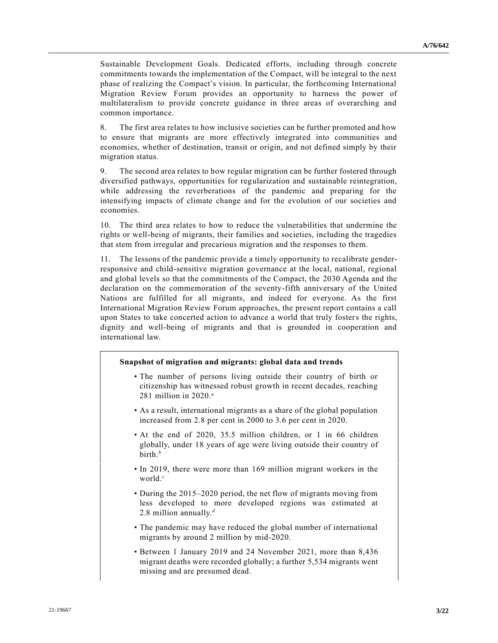Sustainable Development Goals. Dedicated efforts, including through concrete commitments towards the implementation of the Compact, will be integral to the next phase of realizing the Compact's vision. In particular, the forthcoming International Migration Review Forum provides an opportunity to harness the power of multilateralism to provide concrete guidance in three areas of overarching and common importance.

8. The first area relates to how inclusive societies can be further promoted and how to ensure that migrants are more effectively integrated into communities and economies, whether of destination, transit or origin, and not defined simply by their migration status.

9. The second area relates to how regular migration can be further fostered through diversified pathways, opportunities for regularization and sustainable reintegration, while addressing the reverberations of the pandemic and preparing for the intensifying impacts of climate change and for the evolution of our societies and economies.

10. The third area relates to how to reduce the vulnerabilities that undermine the rights or well-being of migrants, their families and societies, including the tragedies that stem from irregular and precarious migration and the responses to them.

11. The lessons of the pandemic provide a timely opportunity to recalibrate genderresponsive and child-sensitive migration governance at the local, national, regional and global levels so that the commitments of the Compact, the 2030 Agenda and the declaration on the commemoration of the seventy-fifth anniversary of the United Nations are fulfilled for all migrants, and indeed for everyone. As the first International Migration Review Forum approaches, the present report contains a call upon States to take concerted action to advance a world that truly fosters the rights, dignity and well-being of migrants and that is grounded in cooperation and international law.

#### **Snapshot of migration and migrants: global data and trends**

- The number of persons living outside their country of birth or citizenship has witnessed robust growth in recent decades, reaching 281 million in 2020. *a*
- As a result, international migrants as a share of the global population increased from 2.8 per cent in 2000 to 3.6 per cent in 2020.
- At the end of 2020, 35.5 million children, or 1 in 66 children globally, under 18 years of age were living outside their country of birth.*<sup>b</sup>*
- In 2019, there were more than 169 million migrant workers in the world.*<sup>c</sup>*
- During the 2015–2020 period, the net flow of migrants moving from less developed to more developed regions was estimated at 2.8 million annually.*<sup>d</sup>*
- The pandemic may have reduced the global number of international migrants by around 2 million by mid-2020.
- Between 1 January 2019 and 24 November 2021, more than 8,436 migrant deaths were recorded globally; a further 5,534 migrants went missing and are presumed dead.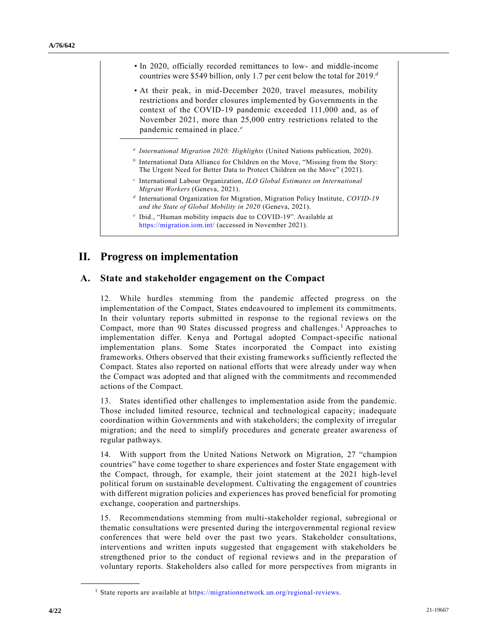- In 2020, officially recorded remittances to low- and middle-income countries were \$549 billion, only 1.7 per cent below the total for 2019. *d*
- At their peak, in mid-December 2020, travel measures, mobility restrictions and border closures implemented by Governments in the context of the COVID-19 pandemic exceeded 111,000 and, as of November 2021, more than 25,000 entry restrictions related to the pandemic remained in place.*<sup>e</sup>*
- *a International Migration 2020: Highlights* (United Nations publication, 2020).
- *b* International Data Alliance for Children on the Move, "Missing from the Story: The Urgent Need for Better Data to Protect Children on the Move" (2021).
- *c* International Labour Organization, *ILO Global Estimates on International Migrant Workers* (Geneva, 2021).
- *d* International Organization for Migration, Migration Policy Institute, *COVID-19 and the State of Global Mobility in 2020* (Geneva, 2021).
- *e* Ibid., "Human mobility impacts due to COVID-19". Available at <https://migration.iom.int/> (accessed in November 2021).

## **II. Progress on implementation**

#### **A. State and stakeholder engagement on the Compact**

12. While hurdles stemming from the pandemic affected progress on the implementation of the Compact, States endeavoured to implement its commitments. In their voluntary reports submitted in response to the regional reviews on the Compact, more than 90 States discussed progress and challenges.<sup>1</sup> Approaches to implementation differ. Kenya and Portugal adopted Compact-specific national implementation plans. Some States incorporated the Compact into existing frameworks. Others observed that their existing frameworks sufficiently reflected the Compact. States also reported on national efforts that were already under way when the Compact was adopted and that aligned with the commitments and recommended actions of the Compact.

13. States identified other challenges to implementation aside from the pandemic. Those included limited resource, technical and technological capacity; inadequate coordination within Governments and with stakeholders; the complexity of irregular migration; and the need to simplify procedures and generate greater awareness of regular pathways.

14. With support from the United Nations Network on Migration, 27 "champion countries" have come together to share experiences and foster State engagement with the Compact, through, for example, their joint statement at the 2021 high-level political forum on sustainable development. Cultivating the engagement of countries with different migration policies and experiences has proved beneficial for promoting exchange, cooperation and partnerships.

15. Recommendations stemming from multi-stakeholder regional, subregional or thematic consultations were presented during the intergovernmental regional review conferences that were held over the past two years. Stakeholder consultations, interventions and written inputs suggested that engagement with stakeholders be strengthened prior to the conduct of regional reviews and in the preparation of voluntary reports. Stakeholders also called for more perspectives from migrants in

<sup>&</sup>lt;sup>1</sup> State reports are available at [https://migrationnetwork.un.org/regional-reviews.](https://migrationnetwork.un.org/regional-reviews)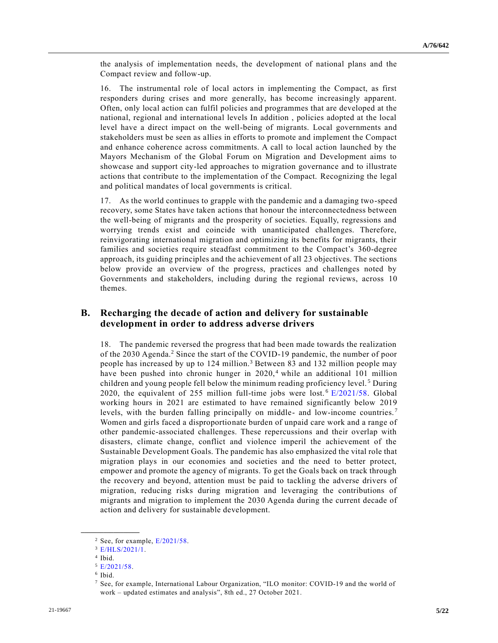the analysis of implementation needs, the development of national plans and the Compact review and follow-up.

16. The instrumental role of local actors in implementing the Compact, as first responders during crises and more generally, has become increasingly apparent. Often, only local action can fulfil policies and programmes that are developed at the national, regional and international levels In addition , policies adopted at the local level have a direct impact on the well-being of migrants. Local governments and stakeholders must be seen as allies in efforts to promote and implement the Compact and enhance coherence across commitments. A call to local action launched by the Mayors Mechanism of the Global Forum on Migration and Development aims to showcase and support city-led approaches to migration governance and to illustrate actions that contribute to the implementation of the Compact. Recognizing the legal and political mandates of local governments is critical.

17. As the world continues to grapple with the pandemic and a damaging two-speed recovery, some States have taken actions that honour the interconnectedness between the well-being of migrants and the prosperity of societies. Equally, regressions and worrying trends exist and coincide with unanticipated challenges. Therefore, reinvigorating international migration and optimizing its benefits for migrants, their families and societies require steadfast commitment to the Compact's 360-degree approach, its guiding principles and the achievement of all 23 objectives. The sections below provide an overview of the progress, practices and challenges noted by Governments and stakeholders, including during the regional reviews, across 10 themes.

### **B. Recharging the decade of action and delivery for sustainable development in order to address adverse drivers**

18. The pandemic reversed the progress that had been made towards the realization of the 2030 Agenda.<sup>2</sup> Since the start of the COVID-19 pandemic, the number of poor people has increased by up to 124 million.<sup>3</sup> Between 83 and 132 million people may have been pushed into chronic hunger in 2020,<sup>4</sup> while an additional 101 million children and young people fell below the minimum reading proficiency level. <sup>5</sup> During 2020, the equivalent of 255 million full-time jobs were lost.<sup>6</sup> [E/2021/58.](https://undocs.org/en/E/2021/58) Global working hours in 2021 are estimated to have remained significantly below 2019 levels, with the burden falling principally on middle- and low-income countries.<sup>7</sup> Women and girls faced a disproportionate burden of unpaid care work and a range of other pandemic-associated challenges. These repercussions and their overlap with disasters, climate change, conflict and violence imperil the achievement of the Sustainable Development Goals. The pandemic has also emphasized the vital role that migration plays in our economies and societies and the need to better protect, empower and promote the agency of migrants. To get the Goals back on track through the recovery and beyond, attention must be paid to tackling the adverse drivers of migration, reducing risks during migration and leveraging the contributions of migrants and migration to implement the 2030 Agenda during the current decade of action and delivery for sustainable development.

 $2$  See, for example,  $E/2021/58$ .

<sup>3</sup> [E/HLS/2021/1.](https://undocs.org/en/E/HLS/2021/1)

<sup>4</sup> Ibid.

<sup>5</sup> [E/2021/58.](https://undocs.org/en/E/2021/58)

<sup>6</sup> Ibid.

<sup>7</sup> See, for example, International Labour Organization, "ILO monitor: COVID-19 and the world of work – updated estimates and analysis", 8th ed., 27 October 2021.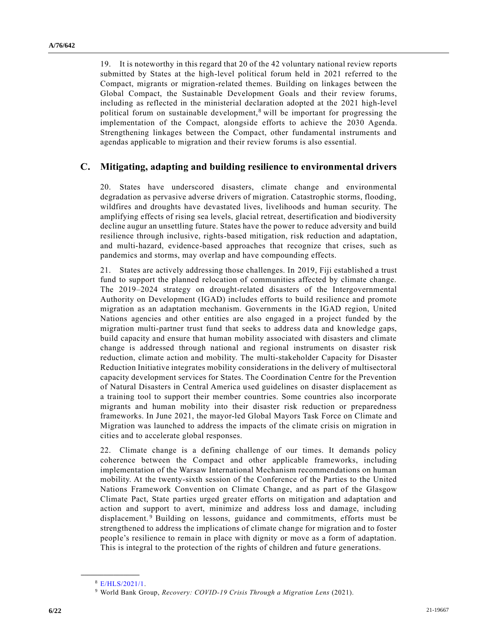19. It is noteworthy in this regard that 20 of the 42 voluntary national review reports submitted by States at the high-level political forum held in 2021 referred to the Compact, migrants or migration-related themes. Building on linkages between the Global Compact, the Sustainable Development Goals and their review forums, including as reflected in the ministerial declaration adopted at the 2021 high-level political forum on sustainable development,  $\frac{8}{3}$  will be important for progressing the implementation of the Compact, alongside efforts to achieve the 2030 Agenda. Strengthening linkages between the Compact, other fundamental instruments and agendas applicable to migration and their review forums is also essential.

## **C. Mitigating, adapting and building resilience to environmental drivers**

20. States have underscored disasters, climate change and environmental degradation as pervasive adverse drivers of migration. Catastrophic storms, flooding, wildfires and droughts have devastated lives, livelihoods and human security. The amplifying effects of rising sea levels, glacial retreat, desertification and biodiversity decline augur an unsettling future. States have the power to reduce adversity and build resilience through inclusive, rights-based mitigation, risk reduction and adaptation, and multi-hazard, evidence-based approaches that recognize that crises, such as pandemics and storms, may overlap and have compounding effects.

21. States are actively addressing those challenges. In 2019, Fiji established a trust fund to support the planned relocation of communities affected by climate change. The 2019–2024 strategy on drought-related disasters of the Intergovernmental Authority on Development (IGAD) includes efforts to build resilience and promote migration as an adaptation mechanism. Governments in the IGAD region, United Nations agencies and other entities are also engaged in a project funded by the migration multi-partner trust fund that seeks to address data and knowledge gaps, build capacity and ensure that human mobility associated with disasters and climate change is addressed through national and regional instruments on disaster risk reduction, climate action and mobility. The multi-stakeholder Capacity for Disaster Reduction Initiative integrates mobility considerations in the delivery of multisectoral capacity development services for States. The Coordination Centre for the Prevention of Natural Disasters in Central America used guidelines on disaster displacement as a training tool to support their member countries. Some countries also incorporate migrants and human mobility into their disaster risk reduction or preparedness frameworks. In June 2021, the mayor-led Global Mayors Task Force on Climate and Migration was launched to address the impacts of the climate crisis on migration in cities and to accelerate global responses.

22. Climate change is a defining challenge of our times. It demands policy coherence between the Compact and other applicable frameworks, including implementation of the Warsaw International Mechanism recommendations on human mobility. At the twenty-sixth session of the Conference of the Parties to the United Nations Framework Convention on Climate Change, and as part of the Glasgow Climate Pact, State parties urged greater efforts on mitigation and adaptation and action and support to avert, minimize and address loss and damage, including displacement.<sup>9</sup> Building on lessons, guidance and commitments, efforts must be strengthened to address the implications of climate change for migration and to foster people's resilience to remain in place with dignity or move as a form of adaptation. This is integral to the protection of the rights of children and future generations.

<sup>8</sup> [E/HLS/2021/1.](https://undocs.org/en/E/HLS/2021/1)

<sup>9</sup> World Bank Group, *Recovery: COVID-19 Crisis Through a Migration Lens* (2021).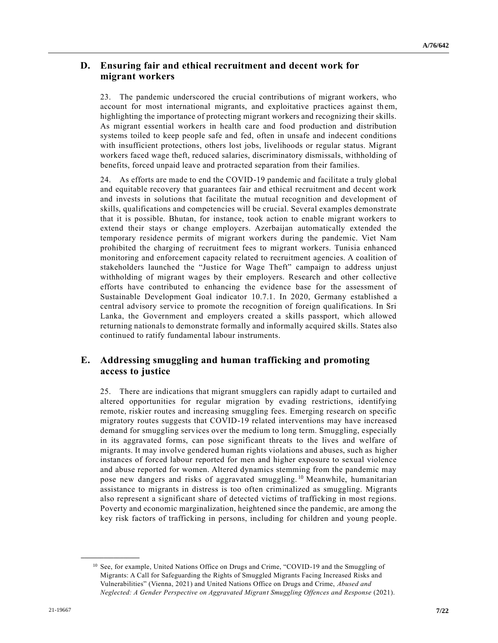## **D. Ensuring fair and ethical recruitment and decent work for migrant workers**

23. The pandemic underscored the crucial contributions of migrant workers, who account for most international migrants, and exploitative practices against them, highlighting the importance of protecting migrant workers and recognizing their skills. As migrant essential workers in health care and food production and distribution systems toiled to keep people safe and fed, often in unsafe and indecent conditions with insufficient protections, others lost jobs, livelihoods or regular status. Migrant workers faced wage theft, reduced salaries, discriminatory dismissals, withholding of benefits, forced unpaid leave and protracted separation from their families.

24. As efforts are made to end the COVID-19 pandemic and facilitate a truly global and equitable recovery that guarantees fair and ethical recruitment and decent work and invests in solutions that facilitate the mutual recognition and development of skills, qualifications and competencies will be crucial. Several examples demonstrate that it is possible. Bhutan, for instance, took action to enable migrant workers to extend their stays or change employers. Azerbaijan automatically extended the temporary residence permits of migrant workers during the pandemic. Viet Nam prohibited the charging of recruitment fees to migrant workers. Tunisia enhanced monitoring and enforcement capacity related to recruitment agencies. A coalition of stakeholders launched the "Justice for Wage Theft" campaign to address unjust withholding of migrant wages by their employers. Research and other collective efforts have contributed to enhancing the evidence base for the assessment of Sustainable Development Goal indicator 10.7.1. In 2020, Germany established a central advisory service to promote the recognition of foreign qualifications. In Sri Lanka, the Government and employers created a skills passport, which allowed returning nationals to demonstrate formally and informally acquired skills. States also continued to ratify fundamental labour instruments.

## **E. Addressing smuggling and human trafficking and promoting access to justice**

25. There are indications that migrant smugglers can rapidly adapt to curtailed and altered opportunities for regular migration by evading restrictions, identifying remote, riskier routes and increasing smuggling fees. Emerging research on specific migratory routes suggests that COVID-19 related interventions may have increased demand for smuggling services over the medium to long term. Smuggling, especially in its aggravated forms, can pose significant threats to the lives and welfare of migrants. It may involve gendered human rights violations and abuses, such as higher instances of forced labour reported for men and higher exposure to sexual violence and abuse reported for women. Altered dynamics stemming from the pandemic may pose new dangers and risks of aggravated smuggling.<sup>10</sup> Meanwhile, humanitarian assistance to migrants in distress is too often criminalized as smuggling. Migrants also represent a significant share of detected victims of trafficking in most regions. Poverty and economic marginalization, heightened since the pandemic, are among the key risk factors of trafficking in persons, including for children and young people.

<sup>&</sup>lt;sup>10</sup> See, for example, United Nations Office on Drugs and Crime, "COVID-19 and the Smuggling of Migrants: A Call for Safeguarding the Rights of Smuggled Migrants Facing Increased Risks and Vulnerabilities" (Vienna, 2021) and United Nations Office on Drugs and Crime, *Abused and Neglected: A Gender Perspective on Aggravated Migrant Smuggling Offences and Response* (2021).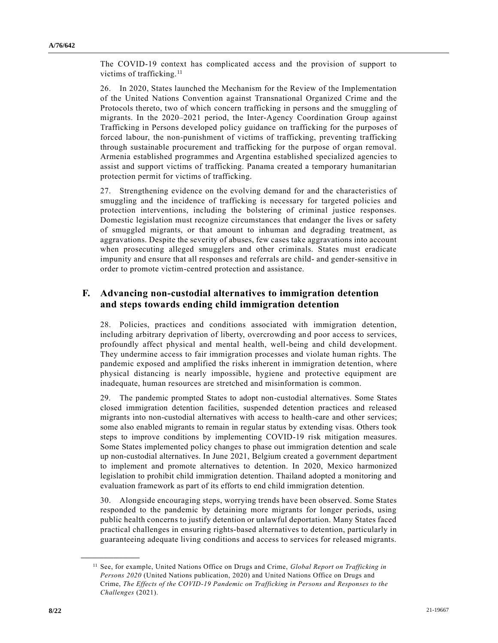The COVID-19 context has complicated access and the provision of support to victims of trafficking.<sup>11</sup>

26. In 2020, States launched the Mechanism for the Review of the Implementation of the United Nations Convention against Transnational Organized Crime and the Protocols thereto, two of which concern trafficking in persons and the smuggling of migrants. In the 2020–2021 period, the Inter-Agency Coordination Group against Trafficking in Persons developed policy guidance on trafficking for the purposes of forced labour, the non-punishment of victims of trafficking, preventing trafficking through sustainable procurement and trafficking for the purpose of organ removal. Armenia established programmes and Argentina established specialized agencies to assist and support victims of trafficking. Panama created a temporary humanitarian protection permit for victims of trafficking.

27. Strengthening evidence on the evolving demand for and the characteristics of smuggling and the incidence of trafficking is necessary for targeted policies and protection interventions, including the bolstering of criminal justice responses. Domestic legislation must recognize circumstances that endanger the lives or safety of smuggled migrants, or that amount to inhuman and degrading treatment, as aggravations. Despite the severity of abuses, few cases take aggravations into account when prosecuting alleged smugglers and other criminals. States must eradicate impunity and ensure that all responses and referrals are child- and gender-sensitive in order to promote victim-centred protection and assistance.

## **F. Advancing non-custodial alternatives to immigration detention and steps towards ending child immigration detention**

28. Policies, practices and conditions associated with immigration detention, including arbitrary deprivation of liberty, overcrowding and poor access to services, profoundly affect physical and mental health, well-being and child development. They undermine access to fair immigration processes and violate human rights. The pandemic exposed and amplified the risks inherent in immigration de tention, where physical distancing is nearly impossible, hygiene and protective equipment are inadequate, human resources are stretched and misinformation is common.

29. The pandemic prompted States to adopt non-custodial alternatives. Some States closed immigration detention facilities, suspended detention practices and released migrants into non-custodial alternatives with access to health-care and other services; some also enabled migrants to remain in regular status by extending visas. Others took steps to improve conditions by implementing COVID-19 risk mitigation measures. Some States implemented policy changes to phase out immigration detention and scale up non-custodial alternatives. In June 2021, Belgium created a government department to implement and promote alternatives to detention. In 2020, Mexico harmonized legislation to prohibit child immigration detention. Thailand adopted a monitoring and evaluation framework as part of its efforts to end child immigration detention.

30. Alongside encouraging steps, worrying trends have been observed. Some States responded to the pandemic by detaining more migrants for longer periods, using public health concerns to justify detention or unlawful deportation. Many States faced practical challenges in ensuring rights-based alternatives to detention, particularly in guaranteeing adequate living conditions and access to services for released migrants.

<sup>11</sup> See, for example, United Nations Office on Drugs and Crime, *Global Report on Trafficking in Persons 2020* (United Nations publication, 2020) and United Nations Office on Drugs and Crime, *The Effects of the COVID-19 Pandemic on Trafficking in Persons and Responses to the Challenges* (2021).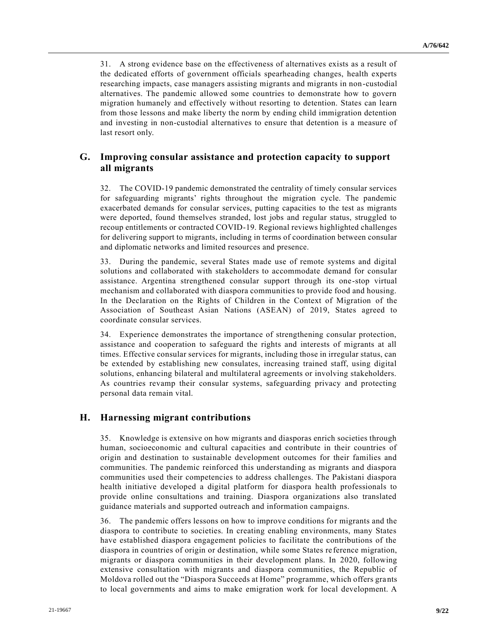31. A strong evidence base on the effectiveness of alternatives exists as a result of the dedicated efforts of government officials spearheading changes, health experts researching impacts, case managers assisting migrants and migrants in non-custodial alternatives. The pandemic allowed some countries to demonstrate how to govern migration humanely and effectively without resorting to detention. States can learn from those lessons and make liberty the norm by ending child immigration detention and investing in non-custodial alternatives to ensure that detention is a measure of last resort only.

## **G. Improving consular assistance and protection capacity to support all migrants**

32. The COVID-19 pandemic demonstrated the centrality of timely consular services for safeguarding migrants' rights throughout the migration cycle. The pandemic exacerbated demands for consular services, putting capacities to the test as migrants were deported, found themselves stranded, lost jobs and regular status, struggled to recoup entitlements or contracted COVID-19. Regional reviews highlighted challenges for delivering support to migrants, including in terms of coordination between consular and diplomatic networks and limited resources and presence.

33. During the pandemic, several States made use of remote systems and digital solutions and collaborated with stakeholders to accommodate demand for consular assistance. Argentina strengthened consular support through its one-stop virtual mechanism and collaborated with diaspora communities to provide food and housing. In the Declaration on the Rights of Children in the Context of Migration of the Association of Southeast Asian Nations (ASEAN) of 2019, States agreed to coordinate consular services.

34. Experience demonstrates the importance of strengthening consular protection, assistance and cooperation to safeguard the rights and interests of migrants at all times. Effective consular services for migrants, including those in irregular status, can be extended by establishing new consulates, increasing trained staff, using digital solutions, enhancing bilateral and multilateral agreements or involving stakeholders. As countries revamp their consular systems, safeguarding privacy and protecting personal data remain vital.

#### **H. Harnessing migrant contributions**

35. Knowledge is extensive on how migrants and diasporas enrich societies through human, socioeconomic and cultural capacities and contribute in their countries of origin and destination to sustainable development outcomes for their families and communities. The pandemic reinforced this understanding as migrants and diaspora communities used their competencies to address challenges. The Pakistani diaspora health initiative developed a digital platform for diaspora health professionals to provide online consultations and training. Diaspora organizations also translated guidance materials and supported outreach and information campaigns.

36. The pandemic offers lessons on how to improve conditions for migrants and the diaspora to contribute to societies. In creating enabling environments, many States have established diaspora engagement policies to facilitate the contributions of the diaspora in countries of origin or destination, while some States re ference migration, migrants or diaspora communities in their development plans. In 2020, following extensive consultation with migrants and diaspora communities, the Republic of Moldova rolled out the "Diaspora Succeeds at Home" programme, which offers grants to local governments and aims to make emigration work for local development. A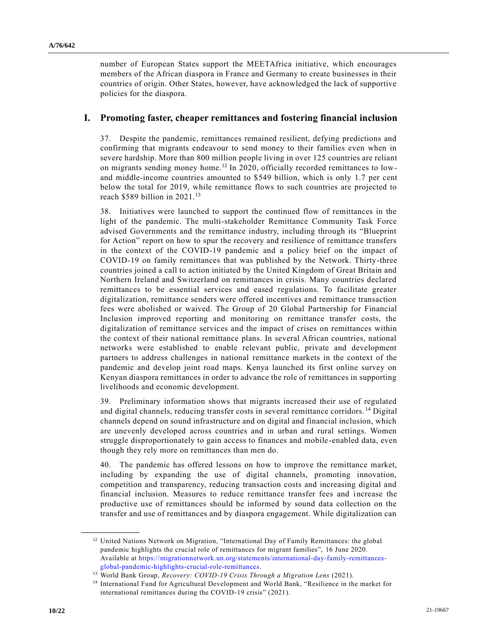number of European States support the MEETAfrica initiative, which encourages members of the African diaspora in France and Germany to create businesses in their countries of origin. Other States, however, have acknowledged the lack of supportive policies for the diaspora.

#### **I. Promoting faster, cheaper remittances and fostering financial inclusion**

37. Despite the pandemic, remittances remained resilient, defying predictions and confirming that migrants endeavour to send money to their families even when in severe hardship. More than 800 million people living in over 125 countries are reliant on migrants sending money home.<sup>12</sup> In 2020, officially recorded remittances to lowand middle-income countries amounted to \$549 billion, which is only 1.7 per cent below the total for 2019, while remittance flows to such countries are projected to reach \$589 billion in 2021. 13

38. Initiatives were launched to support the continued flow of remittances in the light of the pandemic. The multi-stakeholder Remittance Community Task Force advised Governments and the remittance industry, including through its "Blueprint for Action" report on how to spur the recovery and resilience of remittance transfers in the context of the COVID-19 pandemic and a policy brief on the impact of COVID-19 on family remittances that was published by the Network. Thirty-three countries joined a call to action initiated by the United Kingdom of Great Britain and Northern Ireland and Switzerland on remittances in crisis. Many countries declared remittances to be essential services and eased regulations. To facilitate greater digitalization, remittance senders were offered incentives and remittance transaction fees were abolished or waived. The Group of 20 Global Partnership for Financial Inclusion improved reporting and monitoring on remittance transfer costs, the digitalization of remittance services and the impact of crises on remittances within the context of their national remittance plans. In several African countries, national networks were established to enable relevant public, private and development partners to address challenges in national remittance markets in the context of the pandemic and develop joint road maps. Kenya launched its first online survey on Kenyan diaspora remittances in order to advance the role of remittances in supporting livelihoods and economic development.

39. Preliminary information shows that migrants increased their use of regulated and digital channels, reducing transfer costs in several remittance corridors. <sup>14</sup> Digital channels depend on sound infrastructure and on digital and financial inclusion, which are unevenly developed across countries and in urban and rural settings. Women struggle disproportionately to gain access to finances and mobile -enabled data, even though they rely more on remittances than men do.

40. The pandemic has offered lessons on how to improve the remittance market, including by expanding the use of digital channels, promoting innovation, competition and transparency, reducing transaction costs and increasing digital and financial inclusion. Measures to reduce remittance transfer fees and increase the productive use of remittances should be informed by sound data collection on the transfer and use of remittances and by diaspora engagement. While digitalization can

<sup>&</sup>lt;sup>12</sup> United Nations Network on Migration, "International Day of Family Remittances: the global pandemic highlights the crucial role of remittances for migrant families", 16 June 2020. Available at [https://migrationnetwork.un.org/statements/international-day-family-remittances](https://migrationnetwork.un.org/statements/international-day-family-remittances-global-pandemic-highlights-crucial-role-remittances)[global-pandemic-highlights-crucial-role-remittances.](https://migrationnetwork.un.org/statements/international-day-family-remittances-global-pandemic-highlights-crucial-role-remittances)

<sup>13</sup> World Bank Group, *Recovery: COVID-19 Crisis Through a Migration Lens* (2021).

<sup>&</sup>lt;sup>14</sup> International Fund for Agricultural Development and World Bank, "Resilience in the market for international remittances during the COVID-19 crisis" (2021).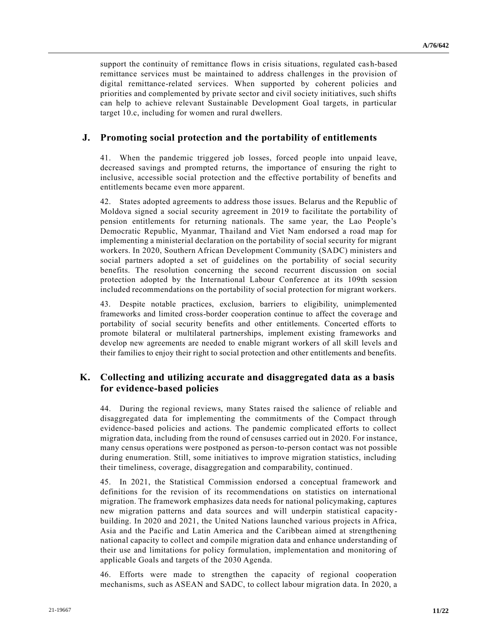support the continuity of remittance flows in crisis situations, regulated cas h-based remittance services must be maintained to address challenges in the provision of digital remittance-related services. When supported by coherent policies and priorities and complemented by private sector and civil society initiatives, such shifts can help to achieve relevant Sustainable Development Goal targets, in particular target 10.c, including for women and rural dwellers.

#### **J. Promoting social protection and the portability of entitlements**

41. When the pandemic triggered job losses, forced people into unpaid leave, decreased savings and prompted returns, the importance of ensuring the right to inclusive, accessible social protection and the effective portability of benefits and entitlements became even more apparent.

42. States adopted agreements to address those issues. Belarus and the Republic of Moldova signed a social security agreement in 2019 to facilitate the portability of pension entitlements for returning nationals. The same year, the Lao People's Democratic Republic, Myanmar, Thailand and Viet Nam endorsed a road map for implementing a ministerial declaration on the portability of social security for migrant workers. In 2020, Southern African Development Community (SADC) ministers and social partners adopted a set of guidelines on the portability of social security benefits. The resolution concerning the second recurrent discussion on social protection adopted by the International Labour Conference at its 109th session included recommendations on the portability of social protection for migrant workers.

43. Despite notable practices, exclusion, barriers to eligibility, unimplemented frameworks and limited cross-border cooperation continue to affect the coverage and portability of social security benefits and other entitlements. Concerted efforts to promote bilateral or multilateral partnerships, implement existing frameworks and develop new agreements are needed to enable migrant workers of all skill levels and their families to enjoy their right to social protection and other entitlements and benefits.

## **K. Collecting and utilizing accurate and disaggregated data as a basis for evidence-based policies**

44. During the regional reviews, many States raised the salience of reliable and disaggregated data for implementing the commitments of the Compact through evidence-based policies and actions. The pandemic complicated efforts to collect migration data, including from the round of censuses carried out in 2020. For instance, many census operations were postponed as person-to-person contact was not possible during enumeration. Still, some initiatives to improve migration statistics, including their timeliness, coverage, disaggregation and comparability, continued.

45. In 2021, the Statistical Commission endorsed a conceptual framework and definitions for the revision of its recommendations on statistics on international migration. The framework emphasizes data needs for national policymaking, captures new migration patterns and data sources and will underpin statistical capacitybuilding. In 2020 and 2021, the United Nations launched various projects in Africa, Asia and the Pacific and Latin America and the Caribbean aimed at strengthening national capacity to collect and compile migration data and enhance understanding of their use and limitations for policy formulation, implementation and monitoring of applicable Goals and targets of the 2030 Agenda.

46. Efforts were made to strengthen the capacity of regional cooperation mechanisms, such as ASEAN and SADC, to collect labour migration data. In 2020, a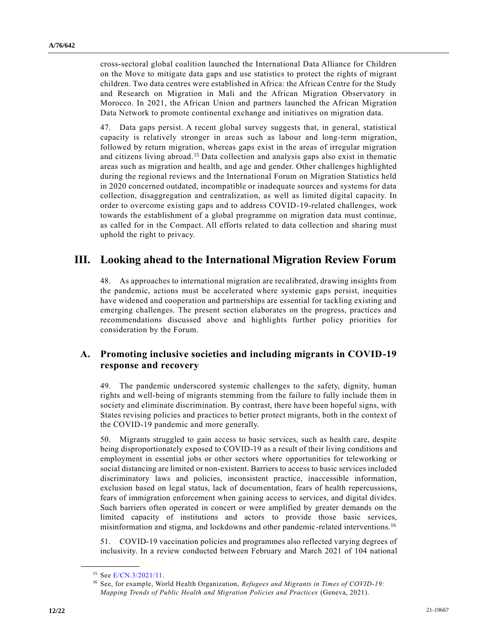cross-sectoral global coalition launched the International Data Alliance for Children on the Move to mitigate data gaps and use statistics to protect the rights of migrant children. Two data centres were established in Africa: the African Centre for the Study and Research on Migration in Mali and the African Migration Observatory in Morocco. In 2021, the African Union and partners launched the African Migration Data Network to promote continental exchange and initiatives on migration data.

47. Data gaps persist. A recent global survey suggests that, in general, statistical capacity is relatively stronger in areas such as labour and long-term migration, followed by return migration, whereas gaps exist in the areas of irregular migration and citizens living abroad.<sup>15</sup> Data collection and analysis gaps also exist in thematic areas such as migration and health, and age and gender. Other challenges highlighted during the regional reviews and the International Forum on Migration Statistics held in 2020 concerned outdated, incompatible or inadequate sources and systems for data collection, disaggregation and centralization, as well as limited digital capacity. In order to overcome existing gaps and to address COVID-19-related challenges, work towards the establishment of a global programme on migration data must continue, as called for in the Compact. All efforts related to data collection and sharing must uphold the right to privacy.

# **III. Looking ahead to the International Migration Review Forum**

48. As approaches to international migration are recalibrated, drawing insights from the pandemic, actions must be accelerated where systemic gaps persist, inequities have widened and cooperation and partnerships are essential for tackling existing and emerging challenges. The present section elaborates on the progress, practices and recommendations discussed above and highlights further policy priorities for consideration by the Forum.

## **A. Promoting inclusive societies and including migrants in COVID-19 response and recovery**

49. The pandemic underscored systemic challenges to the safety, dignity, human rights and well-being of migrants stemming from the failure to fully include them in society and eliminate discrimination. By contrast, there have been hopeful signs, with States revising policies and practices to better protect migrants, both in the context of the COVID-19 pandemic and more generally.

50. Migrants struggled to gain access to basic services, such as health care, despite being disproportionately exposed to COVID-19 as a result of their living conditions and employment in essential jobs or other sectors where opportunities for teleworking or social distancing are limited or non-existent. Barriers to access to basic services included discriminatory laws and policies, inconsistent practice, inaccessible information, exclusion based on legal status, lack of documentation, fears of health repercussions, fears of immigration enforcement when gaining access to services, and digital divides. Such barriers often operated in concert or were amplified by greater demands on the limited capacity of institutions and actors to provide those basic services, misinformation and stigma, and lockdowns and other pandemic-related interventions.<sup>16</sup>

51. COVID-19 vaccination policies and programmes also reflected varying degrees of inclusivity. In a review conducted between February and March 2021 of 104 national

<sup>15</sup> See [E/CN.3/2021/11.](https://undocs.org/en/E/CN.3/2021/11)

<sup>16</sup> See, for example, World Health Organization, *Refugees and Migrants in Times of COVID-19: Mapping Trends of Public Health and Migration Policies and Practices* (Geneva, 2021).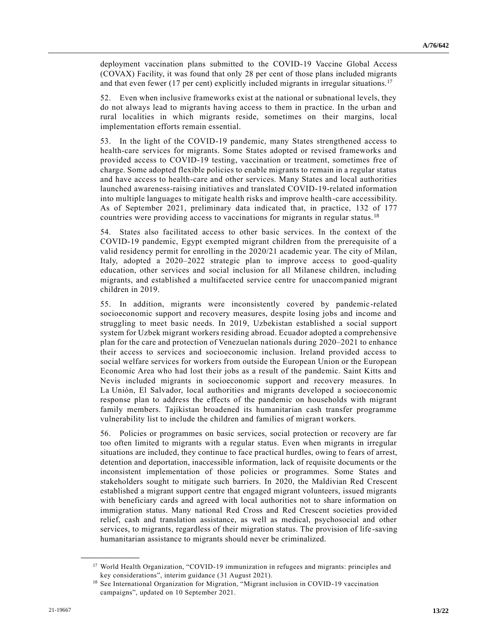deployment vaccination plans submitted to the COVID-19 Vaccine Global Access (COVAX) Facility, it was found that only 28 per cent of those plans included migrants and that even fewer (17 per cent) explicitly included migrants in irregular situations.<sup>17</sup>

52. Even when inclusive frameworks exist at the national or subnational levels, they do not always lead to migrants having access to them in practice. In the urban and rural localities in which migrants reside, sometimes on their margins, local implementation efforts remain essential.

53. In the light of the COVID-19 pandemic, many States strengthened access to health-care services for migrants. Some States adopted or revised frameworks and provided access to COVID-19 testing, vaccination or treatment, sometimes free of charge. Some adopted flexible policies to enable migrants to remain in a regular status and have access to health-care and other services. Many States and local authorities launched awareness-raising initiatives and translated COVID-19-related information into multiple languages to mitigate health risks and improve health-care accessibility. As of September 2021, preliminary data indicated that, in practice, 132 of 177 countries were providing access to vaccinations for migrants in regular status. <sup>18</sup>

54. States also facilitated access to other basic services. In the context of the COVID-19 pandemic, Egypt exempted migrant children from the prerequisite of a valid residency permit for enrolling in the 2020/21 academic year. The city of Milan, Italy, adopted a 2020–2022 strategic plan to improve access to good-quality education, other services and social inclusion for all Milanese children, including migrants, and established a multifaceted service centre for unaccompanied migrant children in 2019.

55. In addition, migrants were inconsistently covered by pandemic-related socioeconomic support and recovery measures, despite losing jobs and income and struggling to meet basic needs. In 2019, Uzbekistan established a social support system for Uzbek migrant workers residing abroad. Ecuador adopted a comprehensive plan for the care and protection of Venezuelan nationals during 2020–2021 to enhance their access to services and socioeconomic inclusion. Ireland provided access to social welfare services for workers from outside the European Union or the European Economic Area who had lost their jobs as a result of the pandemic. Saint Kitts and Nevis included migrants in socioeconomic support and recovery measures. In La Unión, El Salvador, local authorities and migrants developed a socioeconomic response plan to address the effects of the pandemic on households with migrant family members. Tajikistan broadened its humanitarian cash transfer programme vulnerability list to include the children and families of migrant workers.

56. Policies or programmes on basic services, social protection or recovery are far too often limited to migrants with a regular status. Even when migrants in irregular situations are included, they continue to face practical hurdles, owing to fears of arrest, detention and deportation, inaccessible information, lack of requisite documents or the inconsistent implementation of those policies or programmes. Some States and stakeholders sought to mitigate such barriers. In 2020, the Maldivian Red Crescent established a migrant support centre that engaged migrant volunteers, issued migrants with beneficiary cards and agreed with local authorities not to share information on immigration status. Many national Red Cross and Red Crescent societies provided relief, cash and translation assistance, as well as medical, psychosocial and other services, to migrants, regardless of their migration status. The provision of life -saving humanitarian assistance to migrants should never be criminalized.

<sup>&</sup>lt;sup>17</sup> World Health Organization, "COVID-19 immunization in refugees and migrants: principles and key considerations", interim guidance (31 August 2021).

<sup>&</sup>lt;sup>18</sup> See International Organization for Migration, "Migrant inclusion in COVID-19 vaccination campaigns", updated on 10 September 2021.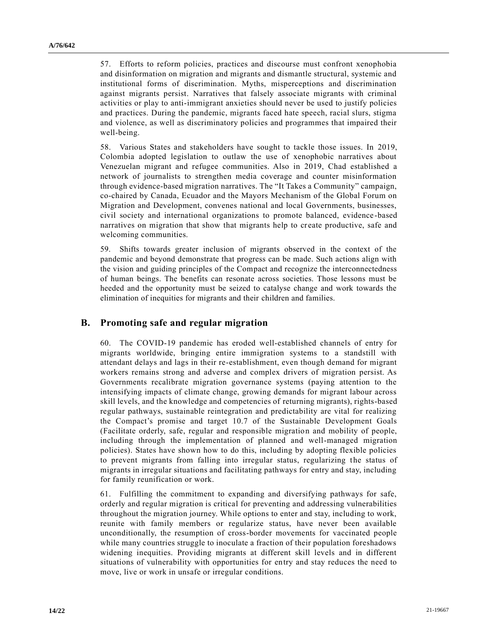57. Efforts to reform policies, practices and discourse must confront xenophobia and disinformation on migration and migrants and dismantle structural, systemic and institutional forms of discrimination. Myths, misperceptions and discrimination against migrants persist. Narratives that falsely associate migrants with criminal activities or play to anti-immigrant anxieties should never be used to justify policies and practices. During the pandemic, migrants faced hate speech, racial slurs, stigma and violence, as well as discriminatory policies and programmes that impaired their well-being.

58. Various States and stakeholders have sought to tackle those issues. In 2019, Colombia adopted legislation to outlaw the use of xenophobic narratives about Venezuelan migrant and refugee communities. Also in 2019, Chad established a network of journalists to strengthen media coverage and counter misinformation through evidence-based migration narratives. The "It Takes a Community" campaign, co-chaired by Canada, Ecuador and the Mayors Mechanism of the Global Forum on Migration and Development, convenes national and local Governments, businesses, civil society and international organizations to promote balanced, evidence -based narratives on migration that show that migrants help to create productive, safe and welcoming communities.

59. Shifts towards greater inclusion of migrants observed in the context of the pandemic and beyond demonstrate that progress can be made. Such actions align with the vision and guiding principles of the Compact and recognize the interconnectedness of human beings. The benefits can resonate across societies. Those lessons must be heeded and the opportunity must be seized to catalyse change and work towards the elimination of inequities for migrants and their children and families.

#### **B. Promoting safe and regular migration**

60. The COVID-19 pandemic has eroded well-established channels of entry for migrants worldwide, bringing entire immigration systems to a standstill with attendant delays and lags in their re-establishment, even though demand for migrant workers remains strong and adverse and complex drivers of migration persist. As Governments recalibrate migration governance systems (paying attention to the intensifying impacts of climate change, growing demands for migrant labour across skill levels, and the knowledge and competencies of returning migrants), rights-based regular pathways, sustainable reintegration and predictability are vital for realizing the Compact's promise and target 10.7 of the Sustainable Development Goals (Facilitate orderly, safe, regular and responsible migration and mobility of people, including through the implementation of planned and well-managed migration policies). States have shown how to do this, including by adopting flexible policies to prevent migrants from falling into irregular status, regularizing the status of migrants in irregular situations and facilitating pathways for entry and stay, including for family reunification or work.

61. Fulfilling the commitment to expanding and diversifying pathways for safe, orderly and regular migration is critical for preventing and addressing vulnerabilities throughout the migration journey. While options to enter and stay, including to work, reunite with family members or regularize status, have never been available unconditionally, the resumption of cross-border movements for vaccinated people while many countries struggle to inoculate a fraction of their population foreshadows widening inequities. Providing migrants at different skill levels and in different situations of vulnerability with opportunities for entry and stay reduces the need to move, live or work in unsafe or irregular conditions.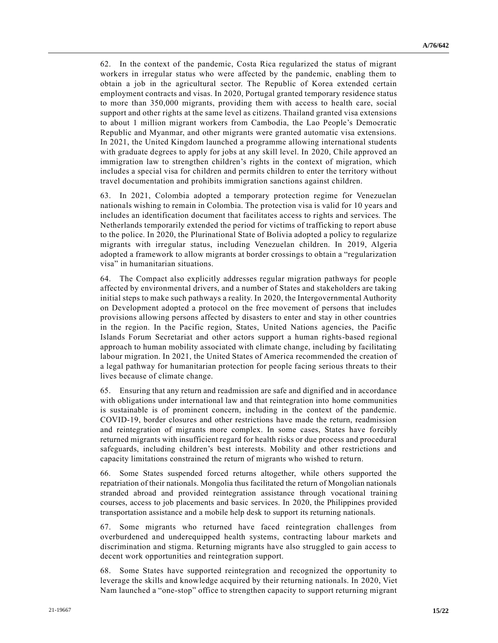62. In the context of the pandemic, Costa Rica regularized the status of migrant workers in irregular status who were affected by the pandemic, enabling them to obtain a job in the agricultural sector. The Republic of Korea extended certain employment contracts and visas. In 2020, Portugal granted temporary residence status to more than 350,000 migrants, providing them with access to health care, social support and other rights at the same level as citizens. Thailand granted visa extensions to about 1 million migrant workers from Cambodia, the Lao People's Democratic Republic and Myanmar, and other migrants were granted automatic visa extensions. In 2021, the United Kingdom launched a programme allowing international students with graduate degrees to apply for jobs at any skill level. In 2020, Chile approved an immigration law to strengthen children's rights in the context of migration, which includes a special visa for children and permits children to enter the territory without travel documentation and prohibits immigration sanctions against children.

63. In 2021, Colombia adopted a temporary protection regime for Venezuelan nationals wishing to remain in Colombia. The protection visa is valid for 10 years and includes an identification document that facilitates access to rights and services. The Netherlands temporarily extended the period for victims of trafficking to report abuse to the police. In 2020, the Plurinational State of Bolivia adopted a policy to regularize migrants with irregular status, including Venezuelan children. In 2019, Algeria adopted a framework to allow migrants at border crossings to obtain a "regularization visa" in humanitarian situations.

64. The Compact also explicitly addresses regular migration pathways for people affected by environmental drivers, and a number of States and stakeholders are taking initial steps to make such pathways a reality. In 2020, the Intergovernmental Authority on Development adopted a protocol on the free movement of persons that includes provisions allowing persons affected by disasters to enter and stay in other countries in the region. In the Pacific region, States, United Nations agencies, the Pacific Islands Forum Secretariat and other actors support a human rights-based regional approach to human mobility associated with climate change, including by facilitating labour migration. In 2021, the United States of America recommended the creation of a legal pathway for humanitarian protection for people facing serious threats to their lives because of climate change.

65. Ensuring that any return and readmission are safe and dignified and in accordance with obligations under international law and that reintegration into home communities is sustainable is of prominent concern, including in the context of the pandemic. COVID-19, border closures and other restrictions have made the return, readmission and reintegration of migrants more complex. In some cases, States have forcibly returned migrants with insufficient regard for health risks or due process and procedural safeguards, including children's best interests. Mobility and other restrictions and capacity limitations constrained the return of migrants who wished to return.

Some States suspended forced returns altogether, while others supported the repatriation of their nationals. Mongolia thus facilitated the return of Mongolian nationals stranded abroad and provided reintegration assistance through vocational training courses, access to job placements and basic services. In 2020, the Philippines provided transportation assistance and a mobile help desk to support its returning nationals.

67. Some migrants who returned have faced reintegration challenges from overburdened and underequipped health systems, contracting labour markets and discrimination and stigma. Returning migrants have also struggled to gain access to decent work opportunities and reintegration support.

68. Some States have supported reintegration and recognized the opportunity to leverage the skills and knowledge acquired by their returning nationals. In 2020, Viet Nam launched a "one-stop" office to strengthen capacity to support returning migrant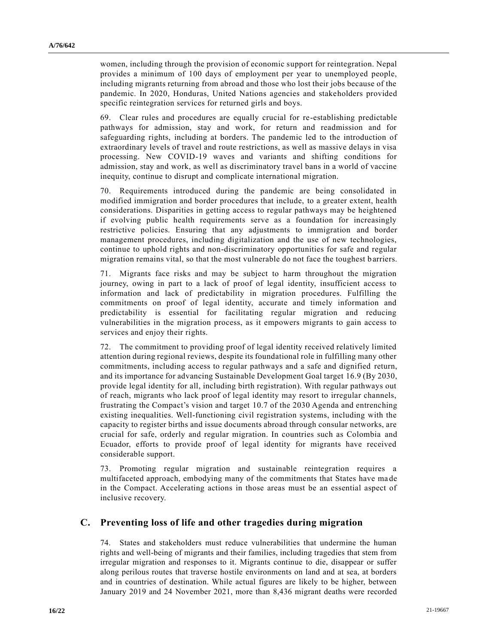women, including through the provision of economic support for reintegration. Nepal provides a minimum of 100 days of employment per year to unemployed people, including migrants returning from abroad and those who lost their jobs because of the pandemic. In 2020, Honduras, United Nations agencies and stakeholders provided specific reintegration services for returned girls and boys.

69. Clear rules and procedures are equally crucial for re-establishing predictable pathways for admission, stay and work, for return and readmission and for safeguarding rights, including at borders. The pandemic led to the introduction of extraordinary levels of travel and route restrictions, as well as massive delays in visa processing. New COVID-19 waves and variants and shifting conditions for admission, stay and work, as well as discriminatory travel bans in a world of vaccine inequity, continue to disrupt and complicate international migration.

70. Requirements introduced during the pandemic are being consolidated in modified immigration and border procedures that include, to a greater extent, health considerations. Disparities in getting access to regular pathways may be heightened if evolving public health requirements serve as a foundation for increasingly restrictive policies. Ensuring that any adjustments to immigration and border management procedures, including digitalization and the use of new technologies, continue to uphold rights and non-discriminatory opportunities for safe and regular migration remains vital, so that the most vulnerable do not face the toughest b arriers.

71. Migrants face risks and may be subject to harm throughout the migration journey, owing in part to a lack of proof of legal identity, insufficient access to information and lack of predictability in migration procedures. Fulfilling the commitments on proof of legal identity, accurate and timely information and predictability is essential for facilitating regular migration and reducing vulnerabilities in the migration process, as it empowers migrants to gain access to services and enjoy their rights.

72. The commitment to providing proof of legal identity received relatively limited attention during regional reviews, despite its foundational role in fulfilling many other commitments, including access to regular pathways and a safe and dignified return, and its importance for advancing Sustainable Development Goal target 16.9 (By 2030, provide legal identity for all, including birth registration). With regular pathways out of reach, migrants who lack proof of legal identity may resort to irregular channels, frustrating the Compact's vision and target 10.7 of the 2030 Agenda and entrenching existing inequalities. Well-functioning civil registration systems, including with the capacity to register births and issue documents abroad through consular networks, are crucial for safe, orderly and regular migration. In countries such as Colombia and Ecuador, efforts to provide proof of legal identity for migrants have received considerable support.

73. Promoting regular migration and sustainable reintegration requires a multifaceted approach, embodying many of the commitments that States have ma de in the Compact. Accelerating actions in those areas must be an essential aspect of inclusive recovery.

#### **C. Preventing loss of life and other tragedies during migration**

74. States and stakeholders must reduce vulnerabilities that undermine the human rights and well-being of migrants and their families, including tragedies that stem from irregular migration and responses to it. Migrants continue to die, disappear or suffer along perilous routes that traverse hostile environments on land and at sea, at borders and in countries of destination. While actual figures are likely to be higher, between January 2019 and 24 November 2021, more than 8,436 migrant deaths were recorded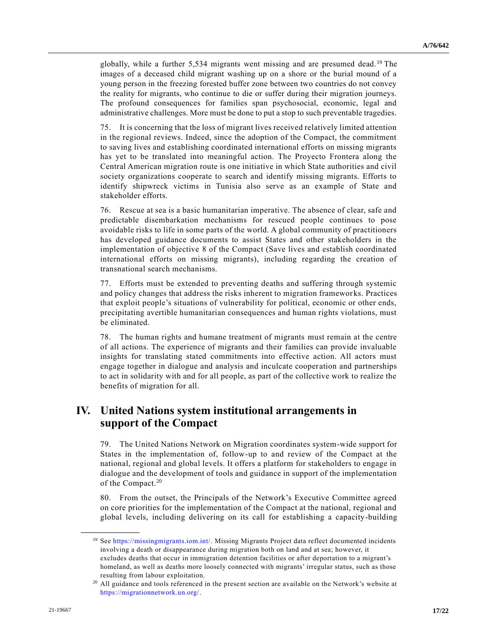globally, while a further 5,534 migrants went missing and are presumed dead.<sup>19</sup> The images of a deceased child migrant washing up on a shore or the burial mound of a young person in the freezing forested buffer zone between two countries do not convey the reality for migrants, who continue to die or suffer during their migration journeys. The profound consequences for families span psychosocial, economic, legal and administrative challenges. More must be done to put a stop to such preventable tragedies.

75. It is concerning that the loss of migrant lives received relatively limited attention in the regional reviews. Indeed, since the adoption of the Compact, the commitment to saving lives and establishing coordinated international efforts on missing migrants has yet to be translated into meaningful action. The Proyecto Frontera along the Central American migration route is one initiative in which State authorities and civil society organizations cooperate to search and identify missing migrants. Efforts to identify shipwreck victims in Tunisia also serve as an example of State and stakeholder efforts.

76. Rescue at sea is a basic humanitarian imperative. The absence of clear, safe and predictable disembarkation mechanisms for rescued people continues to pose avoidable risks to life in some parts of the world. A global community of practitioners has developed guidance documents to assist States and other stakeholders in the implementation of objective 8 of the Compact (Save lives and establish coordinated international efforts on missing migrants), including regarding the creation of transnational search mechanisms.

77. Efforts must be extended to preventing deaths and suffering through systemic and policy changes that address the risks inherent to migration frameworks. Practices that exploit people's situations of vulnerability for political, economic or other ends, precipitating avertible humanitarian consequences and human rights violations, must be eliminated.

78. The human rights and humane treatment of migrants must remain at the centre of all actions. The experience of migrants and their families can provide invaluable insights for translating stated commitments into effective action. All actors must engage together in dialogue and analysis and inculcate cooper ation and partnerships to act in solidarity with and for all people, as part of the collective work to realize the benefits of migration for all.

# **IV. United Nations system institutional arrangements in support of the Compact**

79. The United Nations Network on Migration coordinates system-wide support for States in the implementation of, follow-up to and review of the Compact at the national, regional and global levels. It offers a platform for stakeholders to engage in dialogue and the development of tools and guidance in support of the implementation of the Compact.<sup>20</sup>

80. From the outset, the Principals of the Network's Executive Committee agreed on core priorities for the implementation of the Compact at the national, regional and global levels, including delivering on its call for establishing a capacity-building

<sup>19</sup> See [https://missingmigrants.iom.int/.](https://missingmigrants.iom.int/) Missing Migrants Project data reflect documented incidents involving a death or disappearance during migration both on land and at sea; however, it excludes deaths that occur in immigration detention facilities or after deportation to a migrant's homeland, as well as deaths more loosely connected with migrants' irregular status, such as those resulting from labour exploitation.

<sup>&</sup>lt;sup>20</sup> All guidance and tools referenced in the present section are available on the Network's website at [https://migrationnetwork.un.org/.](https://migrationnetwork.un.org/)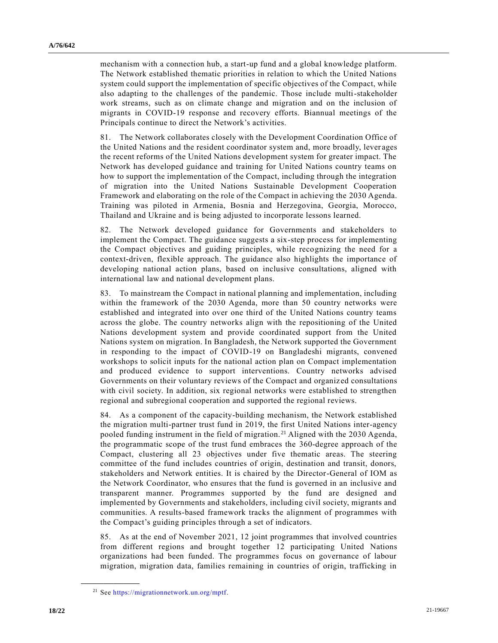mechanism with a connection hub, a start-up fund and a global knowledge platform. The Network established thematic priorities in relation to which the United Nations system could support the implementation of specific objectives of the Compact, while also adapting to the challenges of the pandemic. Those include multi-stakeholder work streams, such as on climate change and migration and on the inclusion of migrants in COVID-19 response and recovery efforts. Biannual meetings of the Principals continue to direct the Network's activities.

81. The Network collaborates closely with the Development Coordination Office of the United Nations and the resident coordinator system and, more broadly, lever ages the recent reforms of the United Nations development system for greater impact. The Network has developed guidance and training for United Nations country teams on how to support the implementation of the Compact, including through the integration of migration into the United Nations Sustainable Development Cooperation Framework and elaborating on the role of the Compact in achieving the 2030 Agenda. Training was piloted in Armenia, Bosnia and Herzegovina, Georgia, Morocco, Thailand and Ukraine and is being adjusted to incorporate lessons learned.

82. The Network developed guidance for Governments and stakeholders to implement the Compact. The guidance suggests a six-step process for implementing the Compact objectives and guiding principles, while recognizing the need for a context-driven, flexible approach. The guidance also highlights the importance of developing national action plans, based on inclusive consultations, aligned with international law and national development plans.

83. To mainstream the Compact in national planning and implementation, including within the framework of the 2030 Agenda, more than 50 country networks were established and integrated into over one third of the United Nations country teams across the globe. The country networks align with the repositioning of the United Nations development system and provide coordinated support from the United Nations system on migration. In Bangladesh, the Network supported the Government in responding to the impact of COVID-19 on Bangladeshi migrants, convened workshops to solicit inputs for the national action plan on Compact implementation and produced evidence to support interventions. Country networks advised Governments on their voluntary reviews of the Compact and organiz ed consultations with civil society. In addition, six regional networks were established to strengthen regional and subregional cooperation and supported the regional reviews.

84. As a component of the capacity-building mechanism, the Network established the migration multi-partner trust fund in 2019, the first United Nations inter-agency pooled funding instrument in the field of migration. <sup>21</sup> Aligned with the 2030 Agenda, the programmatic scope of the trust fund embraces the 360-degree approach of the Compact, clustering all 23 objectives under five thematic areas. The steering committee of the fund includes countries of origin, destination and transit, donors, stakeholders and Network entities. It is chaired by the Director-General of IOM as the Network Coordinator, who ensures that the fund is governed in an inclusive and transparent manner. Programmes supported by the fund are designed and implemented by Governments and stakeholders, including civil society, migrants and communities. A results-based framework tracks the alignment of programmes with the Compact's guiding principles through a set of indicators.

85. As at the end of November 2021, 12 joint programmes that involved countries from different regions and brought together 12 participating United Nations organizations had been funded. The programmes focus on governance of labour migration, migration data, families remaining in countries of origin, trafficking in

<sup>21</sup> See [https://migrationnetwork.un.org/mptf.](https://migrationnetwork.un.org/mptf)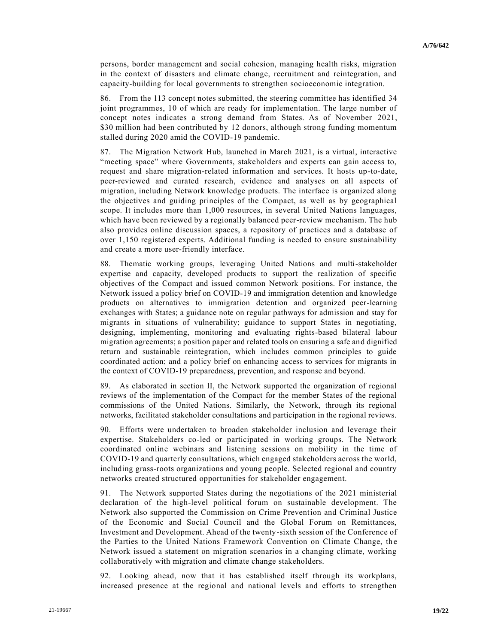persons, border management and social cohesion, managing health risks, migration in the context of disasters and climate change, recruitment and reintegration, and capacity-building for local governments to strengthen socioeconomic integration.

86. From the 113 concept notes submitted, the steering committee has identified 34 joint programmes, 10 of which are ready for implementation. The large number of concept notes indicates a strong demand from States. As of November 2021, \$30 million had been contributed by 12 donors, although strong funding momentum stalled during 2020 amid the COVID-19 pandemic.

87. The Migration Network Hub, launched in March 2021, is a virtual, interactive "meeting space" where Governments, stakeholders and experts can gain access to, request and share migration-related information and services. It hosts up-to-date, peer-reviewed and curated research, evidence and analyses on all aspects of migration, including Network knowledge products. The interface is organized along the objectives and guiding principles of the Compact, as well as by geographical scope. It includes more than 1,000 resources, in several United Nations languages, which have been reviewed by a regionally balanced peer-review mechanism. The hub also provides online discussion spaces, a repository of practices and a database of over 1,150 registered experts. Additional funding is needed to ensure sustainability and create a more user-friendly interface.

88. Thematic working groups, leveraging United Nations and multi-stakeholder expertise and capacity, developed products to support the realization of specific objectives of the Compact and issued common Network positions. For instance, the Network issued a policy brief on COVID-19 and immigration detention and knowledge products on alternatives to immigration detention and organized peer-learning exchanges with States; a guidance note on regular pathways for admission and stay for migrants in situations of vulnerability; guidance to support States in negotiating, designing, implementing, monitoring and evaluating rights-based bilateral labour migration agreements; a position paper and related tools on ensuring a safe and dignified return and sustainable reintegration, which includes common principles to guide coordinated action; and a policy brief on enhancing access to services for migrants in the context of COVID-19 preparedness, prevention, and response and beyond.

89. As elaborated in section II, the Network supported the organization of regional reviews of the implementation of the Compact for the member States of the regional commissions of the United Nations. Similarly, the Network, through its regional networks, facilitated stakeholder consultations and participation in the regional reviews.

90. Efforts were undertaken to broaden stakeholder inclusion and leverage their expertise. Stakeholders co-led or participated in working groups. The Network coordinated online webinars and listening sessions on mobility in the time of COVID-19 and quarterly consultations, which engaged stakeholders across the world, including grass-roots organizations and young people. Selected regional and country networks created structured opportunities for stakeholder engagement.

91. The Network supported States during the negotiations of the 2021 ministerial declaration of the high-level political forum on sustainable development. The Network also supported the Commission on Crime Prevention and Criminal Justice of the Economic and Social Council and the Global Forum on Remittances, Investment and Development. Ahead of the twenty-sixth session of the Conference of the Parties to the United Nations Framework Convention on Climate Change, the Network issued a statement on migration scenarios in a changing climate, working collaboratively with migration and climate change stakeholders.

92. Looking ahead, now that it has established itself through its workplans, increased presence at the regional and national levels and efforts to strengthen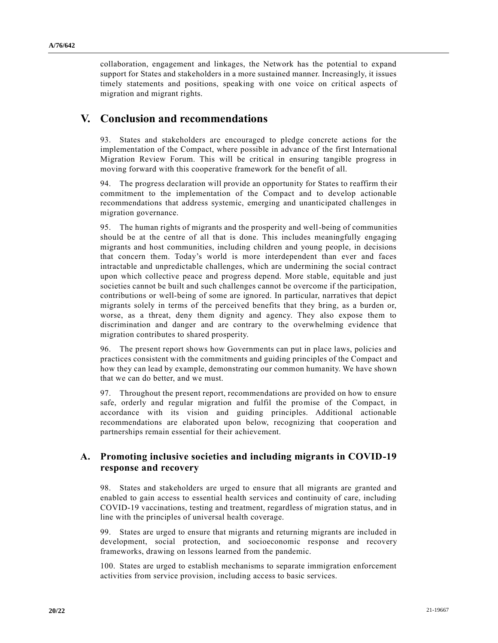collaboration, engagement and linkages, the Network has the potential to expand support for States and stakeholders in a more sustained manner. Increasingly, it issues timely statements and positions, speaking with one voice on critical aspects of migration and migrant rights.

## **V. Conclusion and recommendations**

93. States and stakeholders are encouraged to pledge concrete actions for the implementation of the Compact, where possible in advance of the first International Migration Review Forum. This will be critical in ensuring tangible progress in moving forward with this cooperative framework for the benefit of all.

94. The progress declaration will provide an opportunity for States to reaffirm th eir commitment to the implementation of the Compact and to develop actionable recommendations that address systemic, emerging and unanticipated challenges in migration governance.

95. The human rights of migrants and the prosperity and well-being of communities should be at the centre of all that is done. This includes meaningfully engaging migrants and host communities, including children and young people, in decisions that concern them. Today's world is more interdependent than ever and faces intractable and unpredictable challenges, which are undermining the social contract upon which collective peace and progress depend. More stable, equitable and just societies cannot be built and such challenges cannot be overcome if the participation, contributions or well-being of some are ignored. In particular, narratives that depict migrants solely in terms of the perceived benefits that they bring, as a burden or, worse, as a threat, deny them dignity and agency. They also expose them to discrimination and danger and are contrary to the overwhelming evidence that migration contributes to shared prosperity.

96. The present report shows how Governments can put in place laws, policies and practices consistent with the commitments and guiding principles of the Compact and how they can lead by example, demonstrating our common humanity. We have shown that we can do better, and we must.

97. Throughout the present report, recommendations are provided on how to ensure safe, orderly and regular migration and fulfil the promise of the Compact, in accordance with its vision and guiding principles. Additional actionable recommendations are elaborated upon below, recognizing that cooperation and partnerships remain essential for their achievement.

## **A. Promoting inclusive societies and including migrants in COVID-19 response and recovery**

98. States and stakeholders are urged to ensure that all migrants are granted and enabled to gain access to essential health services and continuity of care, including COVID-19 vaccinations, testing and treatment, regardless of migration status, and in line with the principles of universal health coverage.

99. States are urged to ensure that migrants and returning migrants are included in development, social protection, and socioeconomic response and recovery frameworks, drawing on lessons learned from the pandemic.

100. States are urged to establish mechanisms to separate immigration enforcement activities from service provision, including access to basic services.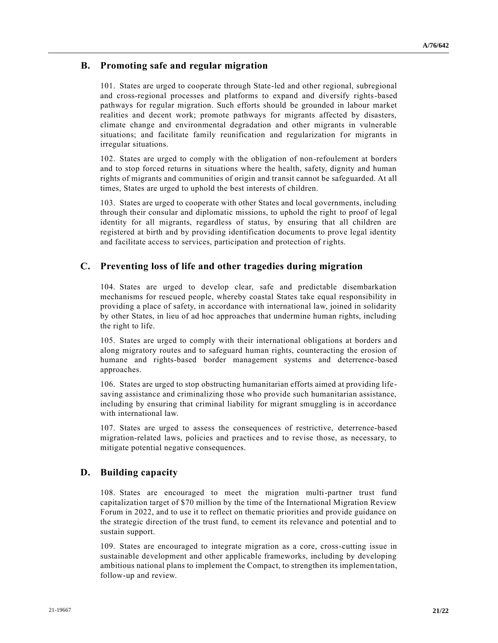## **B. Promoting safe and regular migration**

101. States are urged to cooperate through State-led and other regional, subregional and cross-regional processes and platforms to expand and diversify rights-based pathways for regular migration. Such efforts should be grounded in labour market realities and decent work; promote pathways for migrants affected by disasters, climate change and environmental degradation and other migrants in vulnerable situations; and facilitate family reunification and regularization for migrants in irregular situations.

102. States are urged to comply with the obligation of non-refoulement at borders and to stop forced returns in situations where the health, safety, dignity and human rights of migrants and communities of origin and transit cannot be safeguarded. At all times, States are urged to uphold the best interests of children.

103. States are urged to cooperate with other States and local governments, including through their consular and diplomatic missions, to uphold the right to proof of legal identity for all migrants, regardless of status, by ensuring that all children are registered at birth and by providing identification documents to prove legal identity and facilitate access to services, participation and protection of rights.

## **C. Preventing loss of life and other tragedies during migration**

104. States are urged to develop clear, safe and predictable disembarkation mechanisms for rescued people, whereby coastal States take equal responsibility in providing a place of safety, in accordance with international law, joined in solidarity by other States, in lieu of ad hoc approaches that undermine human rights, including the right to life.

105. States are urged to comply with their international obligations at borders and along migratory routes and to safeguard human rights, counteracting the erosion of humane and rights-based border management systems and deterrence-based approaches.

106. States are urged to stop obstructing humanitarian efforts aimed at providing life saving assistance and criminalizing those who provide such humanitarian assistance, including by ensuring that criminal liability for migrant smuggling is in accordance with international law.

107. States are urged to assess the consequences of restrictive, deterrence-based migration-related laws, policies and practices and to revise those, as necessary, to mitigate potential negative consequences.

## **D. Building capacity**

108. States are encouraged to meet the migration multi-partner trust fund capitalization target of \$70 million by the time of the International Migration Review Forum in 2022, and to use it to reflect on thematic priorities and provide guidance on the strategic direction of the trust fund, to cement its relevance and potential and to sustain support.

109. States are encouraged to integrate migration as a core, cross-cutting issue in sustainable development and other applicable frameworks, including by developing ambitious national plans to implement the Compact, to strengthen its implementation, follow-up and review.